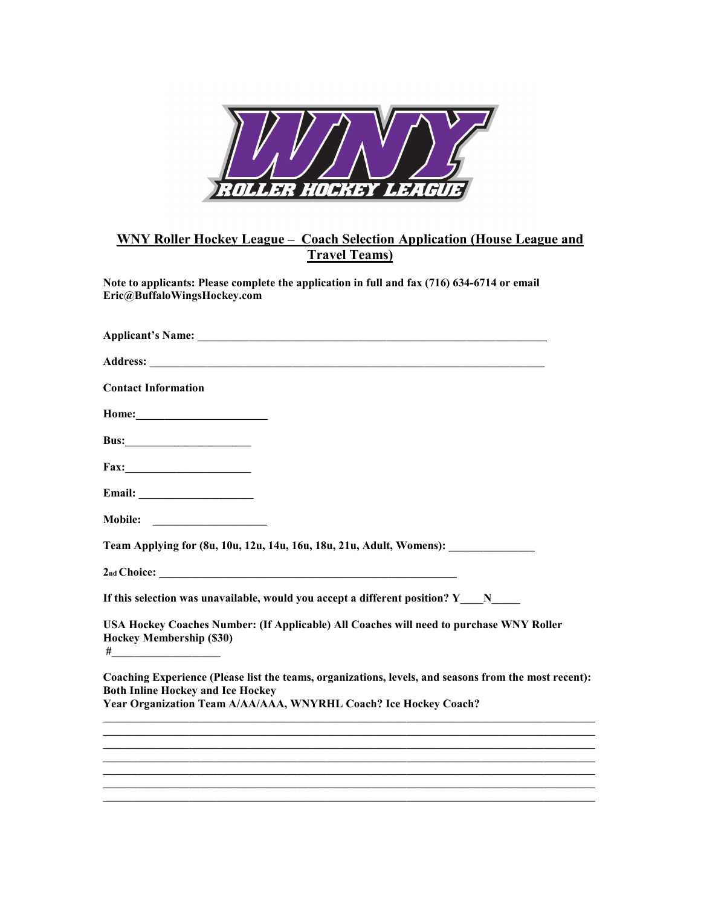

## **WNY Roller Hockey League – Coach Selection Application (House League and Travel Teams)**

**Note to applicants: Please complete the application in full and fax (716) 634-6714 or email Eric@BuffaloWingsHockey.com** 

| <b>Contact Information</b>                                                                                                                                                                                            |
|-----------------------------------------------------------------------------------------------------------------------------------------------------------------------------------------------------------------------|
|                                                                                                                                                                                                                       |
| <b>Bus:___________________________</b>                                                                                                                                                                                |
|                                                                                                                                                                                                                       |
|                                                                                                                                                                                                                       |
|                                                                                                                                                                                                                       |
| Team Applying for (8u, 10u, 12u, 14u, 16u, 18u, 21u, Adult, Womens): ___________                                                                                                                                      |
|                                                                                                                                                                                                                       |
| If this selection was unavailable, would you accept a different position? $Y \tN$                                                                                                                                     |
| USA Hockey Coaches Number: (If Applicable) All Coaches will need to purchase WNY Roller<br><b>Hockey Membership (\$30)</b><br>#_________________________                                                              |
| Coaching Experience (Please list the teams, organizations, levels, and seasons from the most recent):<br><b>Both Inline Hockey and Ice Hockey</b><br>Year Organization Team A/AA/AAA, WNYRHL Coach? Ice Hockey Coach? |
|                                                                                                                                                                                                                       |
|                                                                                                                                                                                                                       |
|                                                                                                                                                                                                                       |
|                                                                                                                                                                                                                       |

**\_\_\_\_\_\_\_\_\_\_\_\_\_\_\_\_\_\_\_\_\_\_\_\_\_\_\_\_\_\_\_\_\_\_\_\_\_\_\_\_\_\_\_\_\_\_\_\_\_\_\_\_\_\_\_\_\_\_\_\_\_\_\_\_\_\_\_\_\_\_\_\_\_\_\_\_\_\_\_\_\_\_\_\_\_\_**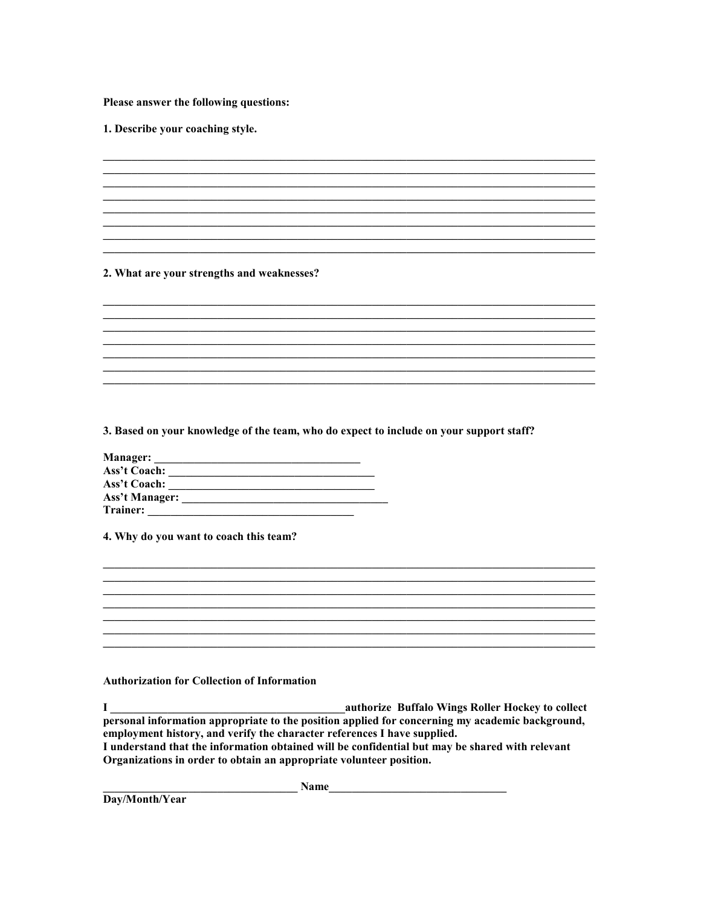Please answer the following questions:

1. Describe your coaching style.

## 2. What are your strengths and weaknesses?

## 3. Based on your knowledge of the team, who do expect to include on your support staff?

<u> 1989 - Johann Stoff, amerikansk politiker (d. 1989)</u> <u> 1989 - Johann Stoff, amerikansk politiker (d. 1989)</u>

| <b>Manager:</b>       |  |
|-----------------------|--|
| Ass't Coach:          |  |
| Ass't Coach:          |  |
| <b>Ass't Manager:</b> |  |
| Trainer:              |  |

4. Why do you want to coach this team?

## **Authorization for Collection of Information**

I<br>
authorize Buffalo Wings Roller Hockey to collect<br>
personal information appropriate to the position applied for concerning my academic background, employment history, and verify the character references I have supplied. I understand that the information obtained will be confidential but may be shared with relevant Organizations in order to obtain an appropriate volunteer position.

<u> 1989 - Johann Harry Harry Harry Harry Harry Harry Harry Harry Harry Harry Harry Harry Harry Harry Harry Harry</u>

<u> 1989 - Johann John Stone, mars et al. (1989)</u>

 $Name$ 

Day/Month/Year